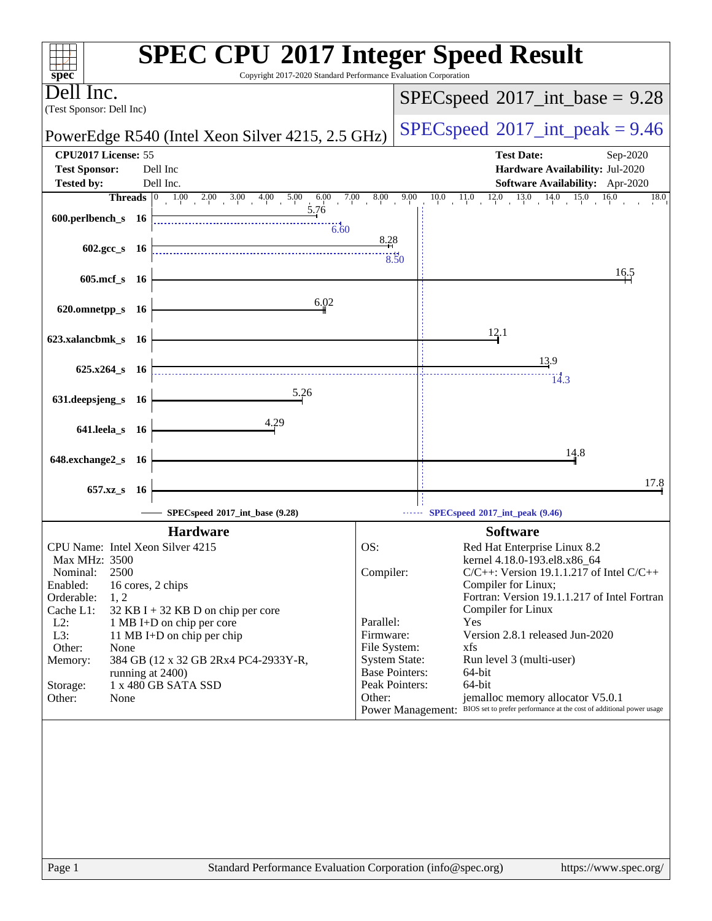| Copyright 2017-2020 Standard Performance Evaluation Corporation<br>$spec^*$ | <b>SPEC CPU®2017 Integer Speed Result</b>                                                                                            |
|-----------------------------------------------------------------------------|--------------------------------------------------------------------------------------------------------------------------------------|
| Dell Inc.<br>(Test Sponsor: Dell Inc)                                       | $SPEC speed^{\circ}2017\_int\_base = 9.28$                                                                                           |
| PowerEdge R540 (Intel Xeon Silver 4215, 2.5 GHz)                            | $SPEC speed^{\circ}2017\_int\_peak = 9.46$                                                                                           |
| CPU2017 License: 55                                                         | <b>Test Date:</b><br>Sep-2020                                                                                                        |
| Dell Inc<br><b>Test Sponsor:</b><br>Dell Inc.<br><b>Tested by:</b>          | Hardware Availability: Jul-2020<br>Software Availability: Apr-2020                                                                   |
|                                                                             | 8.00<br>9.00<br>$11.0$ $12.0$ $13.0$ $14.0$ $15.0$ $16$<br>16.0<br>10.0<br>18.0                                                      |
| 5.76<br>600.perlbench_s $16$<br>$-6.60$                                     |                                                                                                                                      |
| $602 \text{.} \text{gcc s}$ 16                                              | 8.28<br>8.50                                                                                                                         |
| 605.mcf_s 16                                                                | 16.5                                                                                                                                 |
| 6.02                                                                        |                                                                                                                                      |
| 620.omnetpp_s 16                                                            |                                                                                                                                      |
| 623.xalancbmk_s 16                                                          | 12.1                                                                                                                                 |
|                                                                             | 13.9                                                                                                                                 |
| 625.x264_s 16                                                               | 14.3                                                                                                                                 |
| 5.26<br>631.deepsjeng_s 16                                                  |                                                                                                                                      |
| 4.29<br>641.leela_s 16                                                      |                                                                                                                                      |
| 648.exchange2_s 16                                                          | 14.8                                                                                                                                 |
|                                                                             | 17.8                                                                                                                                 |
| 657.xz_s 16<br>SPECspeed®2017_int_base (9.28)                               | SPECspeed <sup>®</sup> 2017_int_peak (9.46)                                                                                          |
| <b>Hardware</b>                                                             | <b>Software</b>                                                                                                                      |
| CPU Name: Intel Xeon Silver 4215                                            | OS:<br>Red Hat Enterprise Linux 8.2                                                                                                  |
| Max MHz: 3500<br>2500<br>Nominal:                                           | kernel 4.18.0-193.el8.x86_64<br>Compiler:<br>$C/C++$ : Version 19.1.1.217 of Intel $C/C++$                                           |
| Enabled:<br>16 cores, 2 chips                                               | Compiler for Linux;                                                                                                                  |
| Orderable:<br>1, 2<br>Cache L1:<br>$32$ KB I + 32 KB D on chip per core     | Fortran: Version 19.1.1.217 of Intel Fortran<br>Compiler for Linux                                                                   |
| $L2$ :<br>1 MB I+D on chip per core                                         | Parallel:<br>Yes                                                                                                                     |
| L3:<br>11 MB I+D on chip per chip                                           | Version 2.8.1 released Jun-2020<br>Firmware:                                                                                         |
| Other:<br>None<br>Memory:<br>384 GB (12 x 32 GB 2Rx4 PC4-2933Y-R,           | File System:<br>xfs<br><b>System State:</b><br>Run level 3 (multi-user)                                                              |
| running at 2400)                                                            | <b>Base Pointers:</b><br>64-bit                                                                                                      |
| 1 x 480 GB SATA SSD<br>Storage:                                             | Peak Pointers:<br>64-bit                                                                                                             |
| Other:<br>None                                                              | jemalloc memory allocator V5.0.1<br>Other:<br>Power Management: BIOS set to prefer performance at the cost of additional power usage |
|                                                                             |                                                                                                                                      |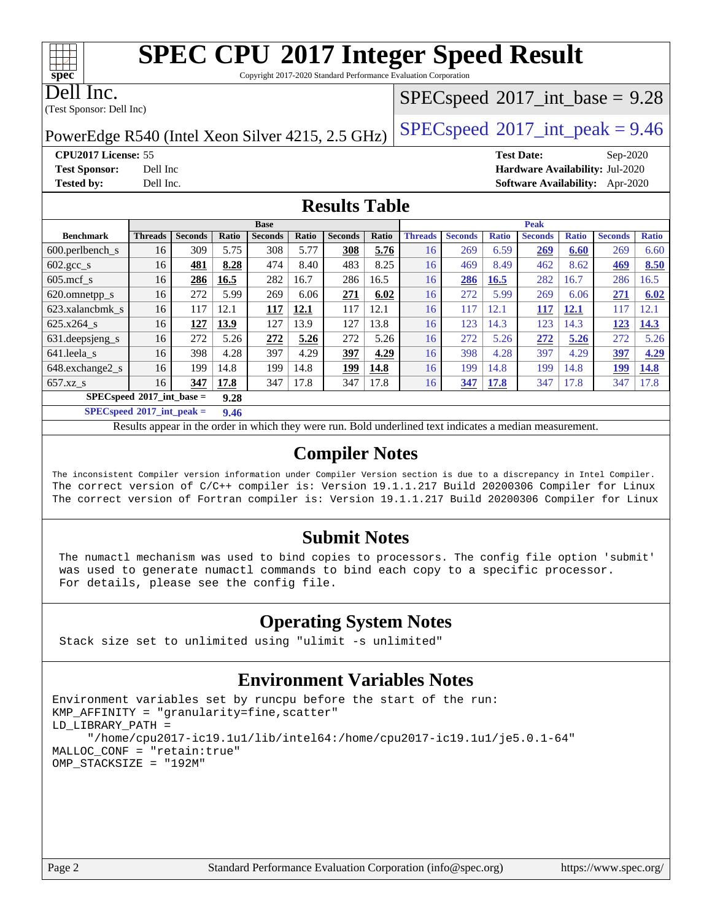Copyright 2017-2020 Standard Performance Evaluation Corporation

Dell Inc.

**[spec](http://www.spec.org/)**

(Test Sponsor: Dell Inc)

#### $SPECspeed^{\circledcirc}2017\_int\_base = 9.28$  $SPECspeed^{\circledcirc}2017\_int\_base = 9.28$

PowerEdge R540 (Intel Xeon Silver 4215, 2.5 GHz)  $\left|$  [SPECspeed](http://www.spec.org/auto/cpu2017/Docs/result-fields.html#SPECspeed2017intpeak)<sup>®</sup>[2017\\_int\\_peak = 9](http://www.spec.org/auto/cpu2017/Docs/result-fields.html#SPECspeed2017intpeak).46

**[Tested by:](http://www.spec.org/auto/cpu2017/Docs/result-fields.html#Testedby)** Dell Inc. **[Software Availability:](http://www.spec.org/auto/cpu2017/Docs/result-fields.html#SoftwareAvailability)** Apr-2020

**[CPU2017 License:](http://www.spec.org/auto/cpu2017/Docs/result-fields.html#CPU2017License)** 55 **[Test Date:](http://www.spec.org/auto/cpu2017/Docs/result-fields.html#TestDate)** Sep-2020 **[Test Sponsor:](http://www.spec.org/auto/cpu2017/Docs/result-fields.html#TestSponsor)** Dell Inc **[Hardware Availability:](http://www.spec.org/auto/cpu2017/Docs/result-fields.html#HardwareAvailability)** Jul-2020

**[Results Table](http://www.spec.org/auto/cpu2017/Docs/result-fields.html#ResultsTable)**

|                                      | <b>Base</b>    |                |       |                |       | <b>Peak</b>    |       |                |                |              |                |              |                |              |
|--------------------------------------|----------------|----------------|-------|----------------|-------|----------------|-------|----------------|----------------|--------------|----------------|--------------|----------------|--------------|
| <b>Benchmark</b>                     | <b>Threads</b> | <b>Seconds</b> | Ratio | <b>Seconds</b> | Ratio | <b>Seconds</b> | Ratio | <b>Threads</b> | <b>Seconds</b> | <b>Ratio</b> | <b>Seconds</b> | <b>Ratio</b> | <b>Seconds</b> | <b>Ratio</b> |
| $600.$ perlbench $\mathsf{S}$        | 16             | 309            | 5.75  | 308            | 5.77  | 308            | 5.76  | 16             | 269            | 6.59         | 269            | 6.60         | 269            | 6.60         |
| $602 \text{.} \text{gcc}\text{_<}$ s | 16             | 481            | 8.28  | 474            | 8.40  | 483            | 8.25  | 16             | 469            | 8.49         | 462            | 8.62         | 469            | 8.50         |
| $605 \text{.mcf}$ s                  | 16             | 286            | 16.5  | 282            | 16.7  | 286            | 16.5  | 16             | 286            | 16.5         | 282            | 16.7         | 286            | 16.5         |
| 620.omnetpp_s                        | 16             | 272            | 5.99  | 269            | 6.06  | 271            | 6.02  | 16             | 272            | 5.99         | 269            | 6.06         | 271            | 6.02         |
| 623.xalancbmk s                      | 16             | 117            | 12.1  | 117            | 12.1  | 117            | 12.1  | 16             | 117            | 12.1         | <b>117</b>     | 12.1         | 117            | 12.1         |
| 625.x264 s                           | 16             | 127            | 13.9  | 127            | 13.9  | 127            | 13.8  | 16             | 123            | 14.3         | 123            | 14.3         | 123            | 14.3         |
| 631.deepsjeng_s                      | 16             | 272            | 5.26  | 272            | 5.26  | 272            | 5.26  | 16             | 272            | 5.26         | 272            | 5.26         | 272            | 5.26         |
| 641.leela s                          | 16             | 398            | 4.28  | 397            | 4.29  | 397            | 4.29  | 16             | 398            | 4.28         | 397            | 4.29         | 397            | 4.29         |
| 648.exchange2_s                      | 16             | 199            | 14.8  | 199            | 14.8  | 199            | 14.8  | 16             | 199            | 14.8         | 199            | 14.8         | 199            | 14.8         |
| $657.xz$ s                           | 16             | 347            | 17.8  | 347            | 17.8  | 347            | 17.8  | 16             | 347            | 17.8         | 347            | 17.8         | 347            | 17.8         |
| $SPECspeed*2017$ int base =<br>9.28  |                |                |       |                |       |                |       |                |                |              |                |              |                |              |

**[SPECspeed](http://www.spec.org/auto/cpu2017/Docs/result-fields.html#SPECspeed2017intpeak)[2017\\_int\\_peak =](http://www.spec.org/auto/cpu2017/Docs/result-fields.html#SPECspeed2017intpeak) 9.46**

Results appear in the [order in which they were run.](http://www.spec.org/auto/cpu2017/Docs/result-fields.html#RunOrder) Bold underlined text [indicates a median measurement](http://www.spec.org/auto/cpu2017/Docs/result-fields.html#Median).

#### **[Compiler Notes](http://www.spec.org/auto/cpu2017/Docs/result-fields.html#CompilerNotes)**

The inconsistent Compiler version information under Compiler Version section is due to a discrepancy in Intel Compiler. The correct version of C/C++ compiler is: Version 19.1.1.217 Build 20200306 Compiler for Linux The correct version of Fortran compiler is: Version 19.1.1.217 Build 20200306 Compiler for Linux

#### **[Submit Notes](http://www.spec.org/auto/cpu2017/Docs/result-fields.html#SubmitNotes)**

 The numactl mechanism was used to bind copies to processors. The config file option 'submit' was used to generate numactl commands to bind each copy to a specific processor. For details, please see the config file.

#### **[Operating System Notes](http://www.spec.org/auto/cpu2017/Docs/result-fields.html#OperatingSystemNotes)**

Stack size set to unlimited using "ulimit -s unlimited"

### **[Environment Variables Notes](http://www.spec.org/auto/cpu2017/Docs/result-fields.html#EnvironmentVariablesNotes)**

```
Environment variables set by runcpu before the start of the run:
KMP_AFFINITY = "granularity=fine,scatter"
LD_LIBRARY_PATH =
      "/home/cpu2017-ic19.1u1/lib/intel64:/home/cpu2017-ic19.1u1/je5.0.1-64"
MALLOC_CONF = "retain:true"
OMP_STACKSIZE = "192M"
```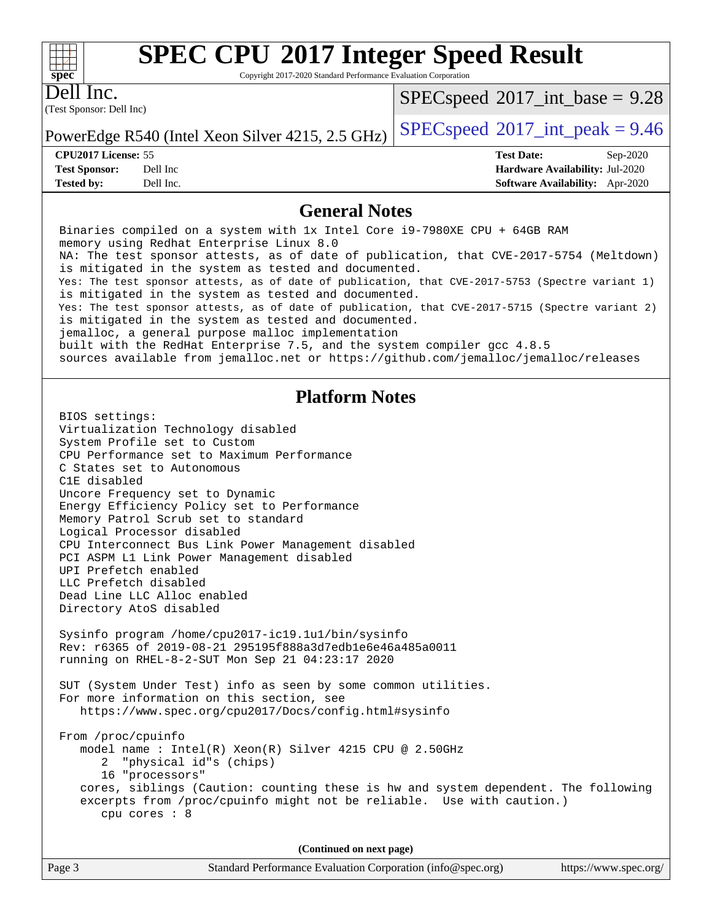Copyright 2017-2020 Standard Performance Evaluation Corporation

(Test Sponsor: Dell Inc) Dell Inc.

**[spec](http://www.spec.org/)**

 $+\hskip -1.5pt +\hskip -1.5pt +$ 

 $SPECspeed^{\circledcirc}2017\_int\_base = 9.28$  $SPECspeed^{\circledcirc}2017\_int\_base = 9.28$ 

PowerEdge R540 (Intel Xeon Silver 4215, 2.5 GHz)  $\left|$  [SPECspeed](http://www.spec.org/auto/cpu2017/Docs/result-fields.html#SPECspeed2017intpeak)<sup>®</sup>[2017\\_int\\_peak = 9](http://www.spec.org/auto/cpu2017/Docs/result-fields.html#SPECspeed2017intpeak).46

**[CPU2017 License:](http://www.spec.org/auto/cpu2017/Docs/result-fields.html#CPU2017License)** 55 **[Test Date:](http://www.spec.org/auto/cpu2017/Docs/result-fields.html#TestDate)** Sep-2020 **[Test Sponsor:](http://www.spec.org/auto/cpu2017/Docs/result-fields.html#TestSponsor)** Dell Inc **[Hardware Availability:](http://www.spec.org/auto/cpu2017/Docs/result-fields.html#HardwareAvailability)** Jul-2020 **[Tested by:](http://www.spec.org/auto/cpu2017/Docs/result-fields.html#Testedby)** Dell Inc. **[Software Availability:](http://www.spec.org/auto/cpu2017/Docs/result-fields.html#SoftwareAvailability)** Apr-2020

#### **[General Notes](http://www.spec.org/auto/cpu2017/Docs/result-fields.html#GeneralNotes)**

 Binaries compiled on a system with 1x Intel Core i9-7980XE CPU + 64GB RAM memory using Redhat Enterprise Linux 8.0 NA: The test sponsor attests, as of date of publication, that CVE-2017-5754 (Meltdown) is mitigated in the system as tested and documented. Yes: The test sponsor attests, as of date of publication, that CVE-2017-5753 (Spectre variant 1) is mitigated in the system as tested and documented. Yes: The test sponsor attests, as of date of publication, that CVE-2017-5715 (Spectre variant 2) is mitigated in the system as tested and documented. jemalloc, a general purpose malloc implementation built with the RedHat Enterprise 7.5, and the system compiler gcc 4.8.5 sources available from jemalloc.net or<https://github.com/jemalloc/jemalloc/releases> **[Platform Notes](http://www.spec.org/auto/cpu2017/Docs/result-fields.html#PlatformNotes)** BIOS settings: Virtualization Technology disabled System Profile set to Custom CPU Performance set to Maximum Performance C States set to Autonomous C1E disabled Uncore Frequency set to Dynamic Energy Efficiency Policy set to Performance Memory Patrol Scrub set to standard Logical Processor disabled CPU Interconnect Bus Link Power Management disabled PCI ASPM L1 Link Power Management disabled UPI Prefetch enabled LLC Prefetch disabled Dead Line LLC Alloc enabled Directory AtoS disabled Sysinfo program /home/cpu2017-ic19.1u1/bin/sysinfo Rev: r6365 of 2019-08-21 295195f888a3d7edb1e6e46a485a0011 running on RHEL-8-2-SUT Mon Sep 21 04:23:17 2020 SUT (System Under Test) info as seen by some common utilities. For more information on this section, see <https://www.spec.org/cpu2017/Docs/config.html#sysinfo> From /proc/cpuinfo model name : Intel(R) Xeon(R) Silver 4215 CPU @ 2.50GHz 2 "physical id"s (chips) 16 "processors" cores, siblings (Caution: counting these is hw and system dependent. The following excerpts from /proc/cpuinfo might not be reliable. Use with caution.) cpu cores : 8 **(Continued on next page)**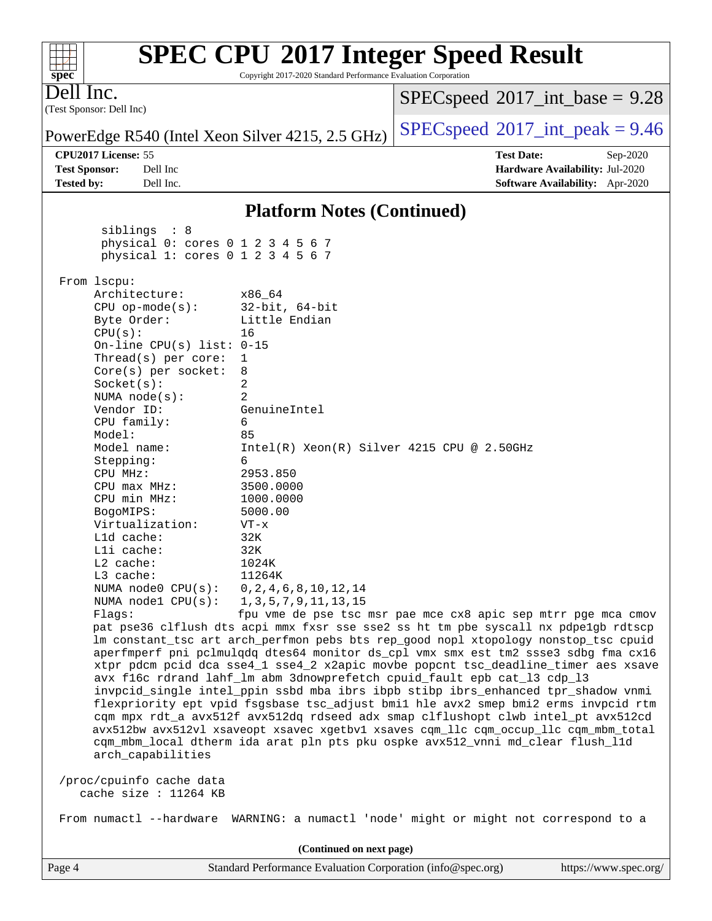#### Page 4 Standard Performance Evaluation Corporation [\(info@spec.org\)](mailto:info@spec.org) <https://www.spec.org/> (Test Sponsor: Dell Inc) Dell Inc. PowerEdge R540 (Intel Xeon Silver 4215, 2.5 GHz)  $\left|$  [SPECspeed](http://www.spec.org/auto/cpu2017/Docs/result-fields.html#SPECspeed2017intpeak)<sup>®</sup>[2017\\_int\\_peak = 9](http://www.spec.org/auto/cpu2017/Docs/result-fields.html#SPECspeed2017intpeak).46  $SPECspeed^{\circ}2017\_int\_base = 9.28$  $SPECspeed^{\circ}2017\_int\_base = 9.28$ **[CPU2017 License:](http://www.spec.org/auto/cpu2017/Docs/result-fields.html#CPU2017License)** 55 **[Test Date:](http://www.spec.org/auto/cpu2017/Docs/result-fields.html#TestDate)** Sep-2020 **[Test Sponsor:](http://www.spec.org/auto/cpu2017/Docs/result-fields.html#TestSponsor)** Dell Inc **[Hardware Availability:](http://www.spec.org/auto/cpu2017/Docs/result-fields.html#HardwareAvailability)** Jul-2020 **[Tested by:](http://www.spec.org/auto/cpu2017/Docs/result-fields.html#Testedby)** Dell Inc. **[Software Availability:](http://www.spec.org/auto/cpu2017/Docs/result-fields.html#SoftwareAvailability)** Apr-2020 **[Platform Notes \(Continued\)](http://www.spec.org/auto/cpu2017/Docs/result-fields.html#PlatformNotes)** siblings : 8 physical 0: cores 0 1 2 3 4 5 6 7 physical 1: cores 0 1 2 3 4 5 6 7 From lscpu: Architecture: x86\_64 CPU op-mode(s): 32-bit, 64-bit Byte Order: Little Endian CPU(s): 16 On-line CPU(s) list: 0-15 Thread(s) per core: 1 Core(s) per socket: 8 Socket(s): 2 NUMA node(s): 2 Vendor ID: GenuineIntel CPU family: 6 Model: 85 Model name: Intel(R) Xeon(R) Silver 4215 CPU @ 2.50GHz Stepping: 6 CPU MHz: 2953.850 CPU max MHz: 3500.0000 CPU min MHz: 1000.0000 BogoMIPS: 5000.00 Virtualization: VT-x L1d cache: 32K L1i cache: 32K L2 cache: 1024K L3 cache: 11264K NUMA node0 CPU(s): 0,2,4,6,8,10,12,14 NUMA node1 CPU(s): 1,3,5,7,9,11,13,15 Flags: fpu vme de pse tsc msr pae mce cx8 apic sep mtrr pge mca cmov pat pse36 clflush dts acpi mmx fxsr sse sse2 ss ht tm pbe syscall nx pdpe1gb rdtscp lm constant\_tsc art arch\_perfmon pebs bts rep\_good nopl xtopology nonstop\_tsc cpuid aperfmperf pni pclmulqdq dtes64 monitor ds\_cpl vmx smx est tm2 ssse3 sdbg fma cx16 xtpr pdcm pcid dca sse4\_1 sse4\_2 x2apic movbe popcnt tsc\_deadline\_timer aes xsave avx f16c rdrand lahf\_lm abm 3dnowprefetch cpuid\_fault epb cat\_l3 cdp\_l3 invpcid\_single intel\_ppin ssbd mba ibrs ibpb stibp ibrs\_enhanced tpr\_shadow vnmi flexpriority ept vpid fsgsbase tsc\_adjust bmi1 hle avx2 smep bmi2 erms invpcid rtm cqm mpx rdt\_a avx512f avx512dq rdseed adx smap clflushopt clwb intel\_pt avx512cd avx512bw avx512vl xsaveopt xsavec xgetbv1 xsaves cqm\_llc cqm\_occup\_llc cqm\_mbm\_total cqm\_mbm\_local dtherm ida arat pln pts pku ospke avx512\_vnni md\_clear flush\_l1d arch\_capabilities /proc/cpuinfo cache data cache size : 11264 KB From numactl --hardware WARNING: a numactl 'node' might or might not correspond to a **(Continued on next page)**

## **[SPEC CPU](http://www.spec.org/auto/cpu2017/Docs/result-fields.html#SPECCPU2017IntegerSpeedResult)[2017 Integer Speed Result](http://www.spec.org/auto/cpu2017/Docs/result-fields.html#SPECCPU2017IntegerSpeedResult)**

Copyright 2017-2020 Standard Performance Evaluation Corporation

**[spec](http://www.spec.org/)**

 $+\!\!+\!\!$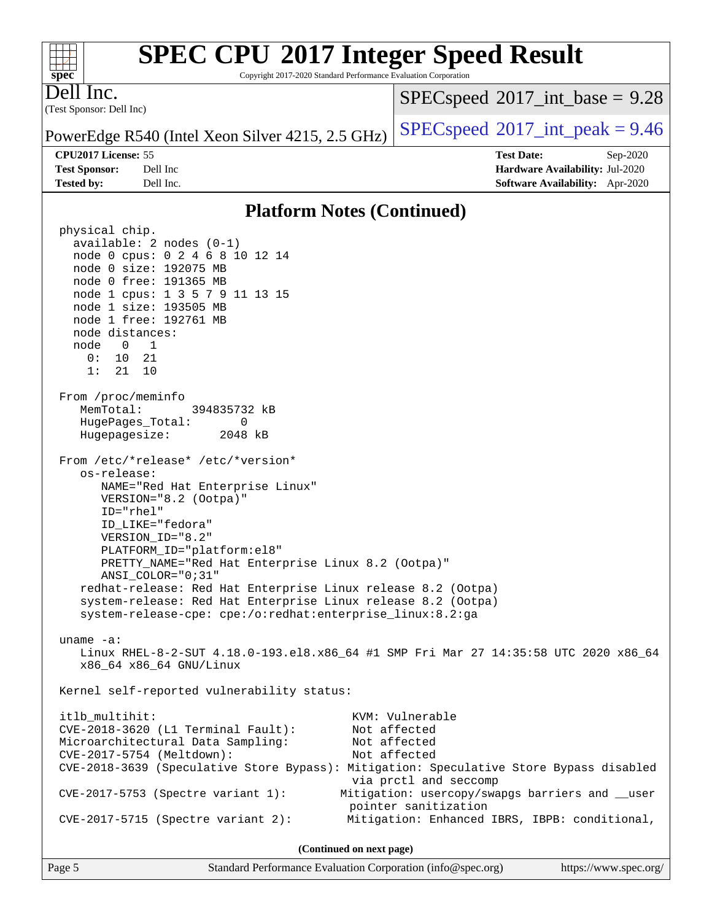Copyright 2017-2020 Standard Performance Evaluation Corporation

Dell Inc.

**[spec](http://www.spec.org/)**

 $+\ +$ 

(Test Sponsor: Dell Inc)

 $SPECspeed^{\circ}2017\_int\_base = 9.28$  $SPECspeed^{\circ}2017\_int\_base = 9.28$ 

PowerEdge R540 (Intel Xeon Silver 4215, 2.5 GHz)  $\left|$  [SPECspeed](http://www.spec.org/auto/cpu2017/Docs/result-fields.html#SPECspeed2017intpeak)<sup>®</sup>[2017\\_int\\_peak = 9](http://www.spec.org/auto/cpu2017/Docs/result-fields.html#SPECspeed2017intpeak).46

**[CPU2017 License:](http://www.spec.org/auto/cpu2017/Docs/result-fields.html#CPU2017License)** 55 **[Test Date:](http://www.spec.org/auto/cpu2017/Docs/result-fields.html#TestDate)** Sep-2020

**[Test Sponsor:](http://www.spec.org/auto/cpu2017/Docs/result-fields.html#TestSponsor)** Dell Inc **[Hardware Availability:](http://www.spec.org/auto/cpu2017/Docs/result-fields.html#HardwareAvailability)** Jul-2020 **[Tested by:](http://www.spec.org/auto/cpu2017/Docs/result-fields.html#Testedby)** Dell Inc. **[Software Availability:](http://www.spec.org/auto/cpu2017/Docs/result-fields.html#SoftwareAvailability)** Apr-2020

#### **[Platform Notes \(Continued\)](http://www.spec.org/auto/cpu2017/Docs/result-fields.html#PlatformNotes)**

 physical chip. available: 2 nodes (0-1) node 0 cpus: 0 2 4 6 8 10 12 14 node 0 size: 192075 MB node 0 free: 191365 MB node 1 cpus: 1 3 5 7 9 11 13 15 node 1 size: 193505 MB node 1 free: 192761 MB node distances: node 0 1 0: 10 21 1: 21 10 From /proc/meminfo MemTotal: 394835732 kB HugePages\_Total: 0 Hugepagesize: 2048 kB From /etc/\*release\* /etc/\*version\* os-release: NAME="Red Hat Enterprise Linux" VERSION="8.2 (Ootpa)" ID="rhel" ID\_LIKE="fedora" VERSION\_ID="8.2" PLATFORM\_ID="platform:el8" PRETTY\_NAME="Red Hat Enterprise Linux 8.2 (Ootpa)" ANSI\_COLOR="0;31" redhat-release: Red Hat Enterprise Linux release 8.2 (Ootpa) system-release: Red Hat Enterprise Linux release 8.2 (Ootpa) system-release-cpe: cpe:/o:redhat:enterprise\_linux:8.2:ga uname -a: Linux RHEL-8-2-SUT 4.18.0-193.el8.x86\_64 #1 SMP Fri Mar 27 14:35:58 UTC 2020 x86\_64 x86\_64 x86\_64 GNU/Linux Kernel self-reported vulnerability status: itlb\_multihit: KVM: Vulnerable CVE-2018-3620 (L1 Terminal Fault): Not affected Microarchitectural Data Sampling: Not affected CVE-2017-5754 (Meltdown): Not affected CVE-2018-3639 (Speculative Store Bypass): Mitigation: Speculative Store Bypass disabled via prctl and seccomp CVE-2017-5753 (Spectre variant 1): Mitigation: usercopy/swapgs barriers and \_\_user pointer sanitization CVE-2017-5715 (Spectre variant 2): Mitigation: Enhanced IBRS, IBPB: conditional, **(Continued on next page)**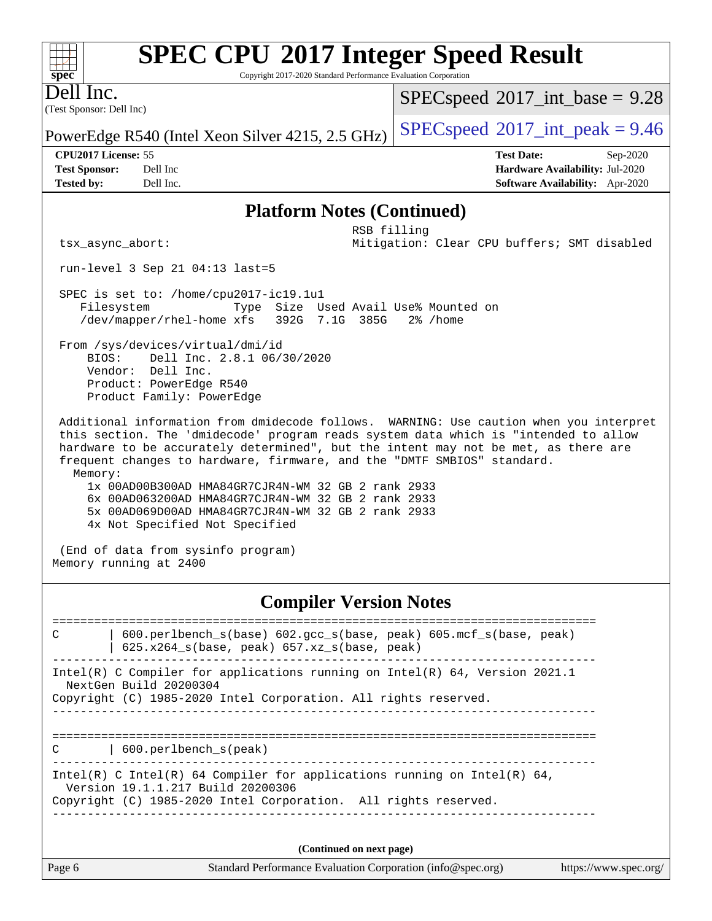Copyright 2017-2020 Standard Performance Evaluation Corporation

(Test Sponsor: Dell Inc) Dell Inc.

**[spec](http://www.spec.org/)**

 $+\!\!+\!\!$ 

 $SPECspeed^{\circledcirc}2017\_int\_base = 9.28$  $SPECspeed^{\circledcirc}2017\_int\_base = 9.28$ 

PowerEdge R540 (Intel Xeon Silver 4215, 2.5 GHz) [SPECspeed](http://www.spec.org/auto/cpu2017/Docs/result-fields.html#SPECspeed2017intpeak)<sup>®</sup>[2017\\_int\\_peak = 9](http://www.spec.org/auto/cpu2017/Docs/result-fields.html#SPECspeed2017intpeak).46

**[CPU2017 License:](http://www.spec.org/auto/cpu2017/Docs/result-fields.html#CPU2017License)** 55 **[Test Date:](http://www.spec.org/auto/cpu2017/Docs/result-fields.html#TestDate)** Sep-2020 **[Test Sponsor:](http://www.spec.org/auto/cpu2017/Docs/result-fields.html#TestSponsor)** Dell Inc **[Hardware Availability:](http://www.spec.org/auto/cpu2017/Docs/result-fields.html#HardwareAvailability)** Jul-2020 **[Tested by:](http://www.spec.org/auto/cpu2017/Docs/result-fields.html#Testedby)** Dell Inc. **[Software Availability:](http://www.spec.org/auto/cpu2017/Docs/result-fields.html#SoftwareAvailability)** Apr-2020

#### **[Platform Notes \(Continued\)](http://www.spec.org/auto/cpu2017/Docs/result-fields.html#PlatformNotes)**

 RSB filling tsx\_async\_abort: Mitigation: Clear CPU buffers; SMT disabled

run-level 3 Sep 21 04:13 last=5

 SPEC is set to: /home/cpu2017-ic19.1u1 Filesystem Type Size Used Avail Use% Mounted on /dev/mapper/rhel-home xfs 392G 7.1G 385G 2% /home

 From /sys/devices/virtual/dmi/id BIOS: Dell Inc. 2.8.1 06/30/2020 Vendor: Dell Inc. Product: PowerEdge R540 Product Family: PowerEdge

 Additional information from dmidecode follows. WARNING: Use caution when you interpret this section. The 'dmidecode' program reads system data which is "intended to allow hardware to be accurately determined", but the intent may not be met, as there are frequent changes to hardware, firmware, and the "DMTF SMBIOS" standard. Memory:

 1x 00AD00B300AD HMA84GR7CJR4N-WM 32 GB 2 rank 2933 6x 00AD063200AD HMA84GR7CJR4N-WM 32 GB 2 rank 2933 5x 00AD069D00AD HMA84GR7CJR4N-WM 32 GB 2 rank 2933 4x Not Specified Not Specified

 (End of data from sysinfo program) Memory running at 2400

#### **[Compiler Version Notes](http://www.spec.org/auto/cpu2017/Docs/result-fields.html#CompilerVersionNotes)**

Page 6 Standard Performance Evaluation Corporation [\(info@spec.org\)](mailto:info@spec.org) <https://www.spec.org/> ============================================================================== C | 600.perlbench\_s(base) 602.gcc\_s(base, peak) 605.mcf\_s(base, peak) | 625.x264\_s(base, peak) 657.xz\_s(base, peak) ------------------------------------------------------------------------------ Intel(R) C Compiler for applications running on Intel(R) 64, Version 2021.1 NextGen Build 20200304 Copyright (C) 1985-2020 Intel Corporation. All rights reserved. ------------------------------------------------------------------------------ ============================================================================== C | 600.perlbench\_s(peak) ------------------------------------------------------------------------------ Intel(R) C Intel(R) 64 Compiler for applications running on Intel(R)  $64$ , Version 19.1.1.217 Build 20200306 Copyright (C) 1985-2020 Intel Corporation. All rights reserved. ------------------------------------------------------------------------------ **(Continued on next page)**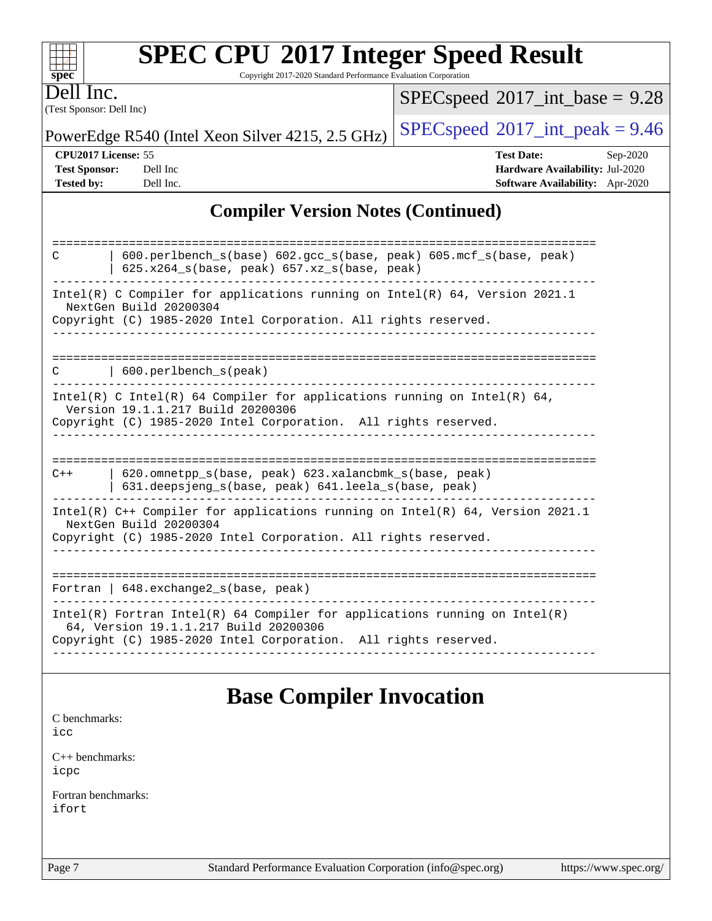| <b>SPEC CPU®2017 Integer Speed Result</b> |  |  |  |
|-------------------------------------------|--|--|--|
|-------------------------------------------|--|--|--|

Copyright 2017-2020 Standard Performance Evaluation Corporation

(Test Sponsor: Dell Inc) Dell Inc.

**[spec](http://www.spec.org/)**

 $+\!\!+\!\!$ 

 $SPECspeed*2017\_int\_base = 9.28$  $SPECspeed*2017\_int\_base = 9.28$ 

PowerEdge R540 (Intel Xeon Silver 4215, 2.5 GHz)  $\left|$  [SPECspeed](http://www.spec.org/auto/cpu2017/Docs/result-fields.html#SPECspeed2017intpeak)<sup>®</sup>[2017\\_int\\_peak = 9](http://www.spec.org/auto/cpu2017/Docs/result-fields.html#SPECspeed2017intpeak).46

**[CPU2017 License:](http://www.spec.org/auto/cpu2017/Docs/result-fields.html#CPU2017License)** 55 **[Test Date:](http://www.spec.org/auto/cpu2017/Docs/result-fields.html#TestDate)** Sep-2020 **[Test Sponsor:](http://www.spec.org/auto/cpu2017/Docs/result-fields.html#TestSponsor)** Dell Inc **[Hardware Availability:](http://www.spec.org/auto/cpu2017/Docs/result-fields.html#HardwareAvailability)** Jul-2020 **[Tested by:](http://www.spec.org/auto/cpu2017/Docs/result-fields.html#Testedby)** Dell Inc. **[Software Availability:](http://www.spec.org/auto/cpu2017/Docs/result-fields.html#SoftwareAvailability)** Apr-2020

### **[Compiler Version Notes \(Continued\)](http://www.spec.org/auto/cpu2017/Docs/result-fields.html#CompilerVersionNotes)**

| $600.$ perlbench $s(base) 602.$ qcc $s(base, peak) 605.$ mcf $s(base, peak)$<br>C<br>$625.x264_s(base, peak)$ $657.xz_s(base, peak)$                                                   |
|----------------------------------------------------------------------------------------------------------------------------------------------------------------------------------------|
| Intel(R) C Compiler for applications running on Intel(R) $64$ , Version 2021.1<br>NextGen Build 20200304<br>Copyright (C) 1985-2020 Intel Corporation. All rights reserved.            |
| 600.perlbench s(peak)<br>C                                                                                                                                                             |
| Intel(R) C Intel(R) 64 Compiler for applications running on Intel(R) 64,<br>Version 19.1.1.217 Build 20200306<br>Copyright (C) 1985-2020 Intel Corporation. All rights reserved.       |
|                                                                                                                                                                                        |
| 620.omnetpp s(base, peak) 623.xalancbmk s(base, peak)<br>$C++$<br>631.deepsjeng_s(base, peak) 641.leela_s(base, peak)                                                                  |
| Intel(R) $C++$ Compiler for applications running on Intel(R) 64, Version 2021.1<br>NextGen Build 20200304<br>Copyright (C) 1985-2020 Intel Corporation. All rights reserved.           |
| Fortran   648. exchange2_s(base, peak)                                                                                                                                                 |
| Intel(R) Fortran Intel(R) 64 Compiler for applications running on Intel(R)<br>64, Version 19.1.1.217 Build 20200306<br>Copyright (C) 1985-2020 Intel Corporation. All rights reserved. |
|                                                                                                                                                                                        |

### **[Base Compiler Invocation](http://www.spec.org/auto/cpu2017/Docs/result-fields.html#BaseCompilerInvocation)**

[C benchmarks](http://www.spec.org/auto/cpu2017/Docs/result-fields.html#Cbenchmarks):

[icc](http://www.spec.org/cpu2017/results/res2020q4/cpu2017-20200928-24060.flags.html#user_CCbase_intel_icc_66fc1ee009f7361af1fbd72ca7dcefbb700085f36577c54f309893dd4ec40d12360134090235512931783d35fd58c0460139e722d5067c5574d8eaf2b3e37e92)

[C++ benchmarks:](http://www.spec.org/auto/cpu2017/Docs/result-fields.html#CXXbenchmarks) [icpc](http://www.spec.org/cpu2017/results/res2020q4/cpu2017-20200928-24060.flags.html#user_CXXbase_intel_icpc_c510b6838c7f56d33e37e94d029a35b4a7bccf4766a728ee175e80a419847e808290a9b78be685c44ab727ea267ec2f070ec5dc83b407c0218cded6866a35d07)

[Fortran benchmarks](http://www.spec.org/auto/cpu2017/Docs/result-fields.html#Fortranbenchmarks): [ifort](http://www.spec.org/cpu2017/results/res2020q4/cpu2017-20200928-24060.flags.html#user_FCbase_intel_ifort_8111460550e3ca792625aed983ce982f94888b8b503583aa7ba2b8303487b4d8a21a13e7191a45c5fd58ff318f48f9492884d4413fa793fd88dd292cad7027ca)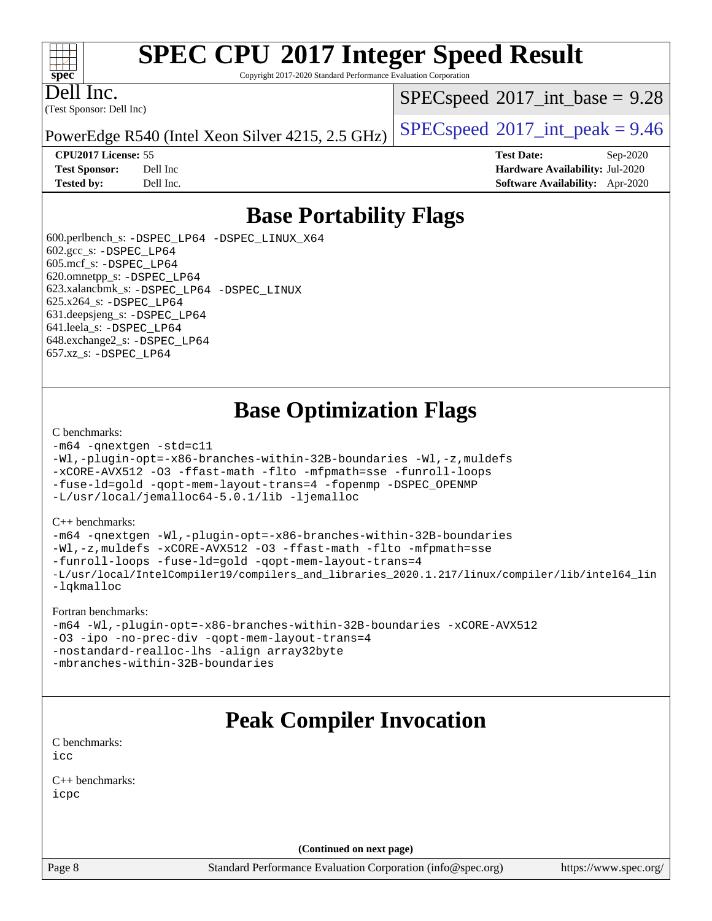#### $\pm\pm\tau$ **[spec](http://www.spec.org/)**

# **[SPEC CPU](http://www.spec.org/auto/cpu2017/Docs/result-fields.html#SPECCPU2017IntegerSpeedResult)[2017 Integer Speed Result](http://www.spec.org/auto/cpu2017/Docs/result-fields.html#SPECCPU2017IntegerSpeedResult)**

Copyright 2017-2020 Standard Performance Evaluation Corporation

(Test Sponsor: Dell Inc) Dell Inc.

 $SPECspeed^{\circ}2017\_int\_base = 9.28$  $SPECspeed^{\circ}2017\_int\_base = 9.28$ 

PowerEdge R540 (Intel Xeon Silver 4215, 2.5 GHz)  $\left|$  [SPECspeed](http://www.spec.org/auto/cpu2017/Docs/result-fields.html#SPECspeed2017intpeak)<sup>®</sup>[2017\\_int\\_peak = 9](http://www.spec.org/auto/cpu2017/Docs/result-fields.html#SPECspeed2017intpeak).46

**[CPU2017 License:](http://www.spec.org/auto/cpu2017/Docs/result-fields.html#CPU2017License)** 55 **[Test Date:](http://www.spec.org/auto/cpu2017/Docs/result-fields.html#TestDate)** Sep-2020 **[Test Sponsor:](http://www.spec.org/auto/cpu2017/Docs/result-fields.html#TestSponsor)** Dell Inc **[Hardware Availability:](http://www.spec.org/auto/cpu2017/Docs/result-fields.html#HardwareAvailability)** Jul-2020 **[Tested by:](http://www.spec.org/auto/cpu2017/Docs/result-fields.html#Testedby)** Dell Inc. **[Software Availability:](http://www.spec.org/auto/cpu2017/Docs/result-fields.html#SoftwareAvailability)** Apr-2020

### **[Base Portability Flags](http://www.spec.org/auto/cpu2017/Docs/result-fields.html#BasePortabilityFlags)**

 600.perlbench\_s: [-DSPEC\\_LP64](http://www.spec.org/cpu2017/results/res2020q4/cpu2017-20200928-24060.flags.html#b600.perlbench_s_basePORTABILITY_DSPEC_LP64) [-DSPEC\\_LINUX\\_X64](http://www.spec.org/cpu2017/results/res2020q4/cpu2017-20200928-24060.flags.html#b600.perlbench_s_baseCPORTABILITY_DSPEC_LINUX_X64) 602.gcc\_s: [-DSPEC\\_LP64](http://www.spec.org/cpu2017/results/res2020q4/cpu2017-20200928-24060.flags.html#suite_basePORTABILITY602_gcc_s_DSPEC_LP64) 605.mcf\_s: [-DSPEC\\_LP64](http://www.spec.org/cpu2017/results/res2020q4/cpu2017-20200928-24060.flags.html#suite_basePORTABILITY605_mcf_s_DSPEC_LP64) 620.omnetpp\_s: [-DSPEC\\_LP64](http://www.spec.org/cpu2017/results/res2020q4/cpu2017-20200928-24060.flags.html#suite_basePORTABILITY620_omnetpp_s_DSPEC_LP64) 623.xalancbmk\_s: [-DSPEC\\_LP64](http://www.spec.org/cpu2017/results/res2020q4/cpu2017-20200928-24060.flags.html#suite_basePORTABILITY623_xalancbmk_s_DSPEC_LP64) [-DSPEC\\_LINUX](http://www.spec.org/cpu2017/results/res2020q4/cpu2017-20200928-24060.flags.html#b623.xalancbmk_s_baseCXXPORTABILITY_DSPEC_LINUX) 625.x264\_s: [-DSPEC\\_LP64](http://www.spec.org/cpu2017/results/res2020q4/cpu2017-20200928-24060.flags.html#suite_basePORTABILITY625_x264_s_DSPEC_LP64) 631.deepsjeng\_s: [-DSPEC\\_LP64](http://www.spec.org/cpu2017/results/res2020q4/cpu2017-20200928-24060.flags.html#suite_basePORTABILITY631_deepsjeng_s_DSPEC_LP64) 641.leela\_s: [-DSPEC\\_LP64](http://www.spec.org/cpu2017/results/res2020q4/cpu2017-20200928-24060.flags.html#suite_basePORTABILITY641_leela_s_DSPEC_LP64) 648.exchange2\_s: [-DSPEC\\_LP64](http://www.spec.org/cpu2017/results/res2020q4/cpu2017-20200928-24060.flags.html#suite_basePORTABILITY648_exchange2_s_DSPEC_LP64) 657.xz\_s: [-DSPEC\\_LP64](http://www.spec.org/cpu2017/results/res2020q4/cpu2017-20200928-24060.flags.html#suite_basePORTABILITY657_xz_s_DSPEC_LP64)

### **[Base Optimization Flags](http://www.spec.org/auto/cpu2017/Docs/result-fields.html#BaseOptimizationFlags)**

#### [C benchmarks](http://www.spec.org/auto/cpu2017/Docs/result-fields.html#Cbenchmarks):

```
-m64 -qnextgen -std=c11
-Wl,-plugin-opt=-x86-branches-within-32B-boundaries -Wl,-z,muldefs
-xCORE-AVX512 -O3 -ffast-math -flto -mfpmath=sse -funroll-loops
-fuse-ld=gold -qopt-mem-layout-trans=4 -fopenmp -DSPEC_OPENMP
-L/usr/local/jemalloc64-5.0.1/lib -ljemalloc
```
#### [C++ benchmarks:](http://www.spec.org/auto/cpu2017/Docs/result-fields.html#CXXbenchmarks)

```
-m64 -qnextgen -Wl,-plugin-opt=-x86-branches-within-32B-boundaries
-Wl,-z,muldefs -xCORE-AVX512 -O3 -ffast-math -flto -mfpmath=sse
-funroll-loops -fuse-ld=gold -qopt-mem-layout-trans=4
-L/usr/local/IntelCompiler19/compilers_and_libraries_2020.1.217/linux/compiler/lib/intel64_lin
-lqkmalloc
```
#### [Fortran benchmarks:](http://www.spec.org/auto/cpu2017/Docs/result-fields.html#Fortranbenchmarks)

```
-m64 -Wl,-plugin-opt=-x86-branches-within-32B-boundaries -xCORE-AVX512
-O3 -ipo -no-prec-div -qopt-mem-layout-trans=4
-nostandard-realloc-lhs -align array32byte
-mbranches-within-32B-boundaries
```
### **[Peak Compiler Invocation](http://www.spec.org/auto/cpu2017/Docs/result-fields.html#PeakCompilerInvocation)**

[C benchmarks](http://www.spec.org/auto/cpu2017/Docs/result-fields.html#Cbenchmarks): [icc](http://www.spec.org/cpu2017/results/res2020q4/cpu2017-20200928-24060.flags.html#user_CCpeak_intel_icc_66fc1ee009f7361af1fbd72ca7dcefbb700085f36577c54f309893dd4ec40d12360134090235512931783d35fd58c0460139e722d5067c5574d8eaf2b3e37e92)

[C++ benchmarks:](http://www.spec.org/auto/cpu2017/Docs/result-fields.html#CXXbenchmarks) [icpc](http://www.spec.org/cpu2017/results/res2020q4/cpu2017-20200928-24060.flags.html#user_CXXpeak_intel_icpc_c510b6838c7f56d33e37e94d029a35b4a7bccf4766a728ee175e80a419847e808290a9b78be685c44ab727ea267ec2f070ec5dc83b407c0218cded6866a35d07)

**(Continued on next page)**

Page 8 Standard Performance Evaluation Corporation [\(info@spec.org\)](mailto:info@spec.org) <https://www.spec.org/>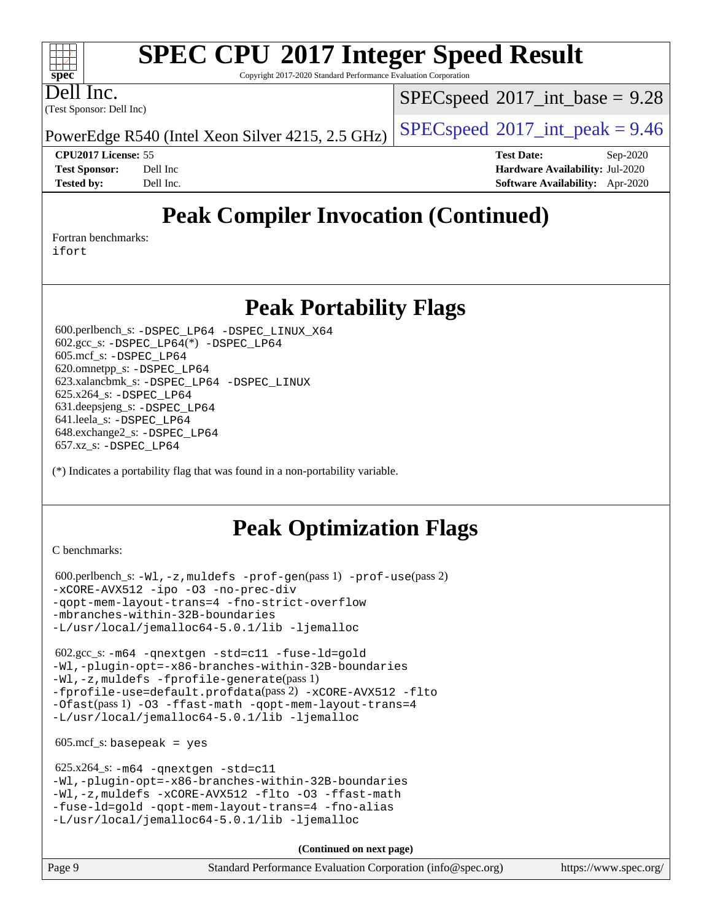Copyright 2017-2020 Standard Performance Evaluation Corporation

Dell Inc.

**[spec](http://www.spec.org/)**

 $+\ +$ 

(Test Sponsor: Dell Inc)

 $SPECspeed^{\circ}2017\_int\_base = 9.28$  $SPECspeed^{\circ}2017\_int\_base = 9.28$ 

PowerEdge R540 (Intel Xeon Silver 4215, 2.5 GHz)  $\left|$  [SPECspeed](http://www.spec.org/auto/cpu2017/Docs/result-fields.html#SPECspeed2017intpeak)<sup>®</sup>[2017\\_int\\_peak = 9](http://www.spec.org/auto/cpu2017/Docs/result-fields.html#SPECspeed2017intpeak).46

**[CPU2017 License:](http://www.spec.org/auto/cpu2017/Docs/result-fields.html#CPU2017License)** 55 **[Test Date:](http://www.spec.org/auto/cpu2017/Docs/result-fields.html#TestDate)** Sep-2020 **[Test Sponsor:](http://www.spec.org/auto/cpu2017/Docs/result-fields.html#TestSponsor)** Dell Inc **[Hardware Availability:](http://www.spec.org/auto/cpu2017/Docs/result-fields.html#HardwareAvailability)** Jul-2020 **[Tested by:](http://www.spec.org/auto/cpu2017/Docs/result-fields.html#Testedby)** Dell Inc. **[Software Availability:](http://www.spec.org/auto/cpu2017/Docs/result-fields.html#SoftwareAvailability)** Apr-2020

## **[Peak Compiler Invocation \(Continued\)](http://www.spec.org/auto/cpu2017/Docs/result-fields.html#PeakCompilerInvocation)**

[Fortran benchmarks](http://www.spec.org/auto/cpu2017/Docs/result-fields.html#Fortranbenchmarks):

[ifort](http://www.spec.org/cpu2017/results/res2020q4/cpu2017-20200928-24060.flags.html#user_FCpeak_intel_ifort_8111460550e3ca792625aed983ce982f94888b8b503583aa7ba2b8303487b4d8a21a13e7191a45c5fd58ff318f48f9492884d4413fa793fd88dd292cad7027ca)

### **[Peak Portability Flags](http://www.spec.org/auto/cpu2017/Docs/result-fields.html#PeakPortabilityFlags)**

 600.perlbench\_s: [-DSPEC\\_LP64](http://www.spec.org/cpu2017/results/res2020q4/cpu2017-20200928-24060.flags.html#b600.perlbench_s_peakPORTABILITY_DSPEC_LP64) [-DSPEC\\_LINUX\\_X64](http://www.spec.org/cpu2017/results/res2020q4/cpu2017-20200928-24060.flags.html#b600.perlbench_s_peakCPORTABILITY_DSPEC_LINUX_X64) 602.gcc\_s: [-DSPEC\\_LP64](http://www.spec.org/cpu2017/results/res2020q4/cpu2017-20200928-24060.flags.html#suite_peakCCLD602_gcc_s_DSPEC_LP64)(\*) [-DSPEC\\_LP64](http://www.spec.org/cpu2017/results/res2020q4/cpu2017-20200928-24060.flags.html#suite_peakPORTABILITY602_gcc_s_DSPEC_LP64) 605.mcf\_s: [-DSPEC\\_LP64](http://www.spec.org/cpu2017/results/res2020q4/cpu2017-20200928-24060.flags.html#suite_peakPORTABILITY605_mcf_s_DSPEC_LP64) 620.omnetpp\_s: [-DSPEC\\_LP64](http://www.spec.org/cpu2017/results/res2020q4/cpu2017-20200928-24060.flags.html#suite_peakPORTABILITY620_omnetpp_s_DSPEC_LP64) 623.xalancbmk\_s: [-DSPEC\\_LP64](http://www.spec.org/cpu2017/results/res2020q4/cpu2017-20200928-24060.flags.html#suite_peakPORTABILITY623_xalancbmk_s_DSPEC_LP64) [-DSPEC\\_LINUX](http://www.spec.org/cpu2017/results/res2020q4/cpu2017-20200928-24060.flags.html#b623.xalancbmk_s_peakCXXPORTABILITY_DSPEC_LINUX) 625.x264\_s: [-DSPEC\\_LP64](http://www.spec.org/cpu2017/results/res2020q4/cpu2017-20200928-24060.flags.html#suite_peakPORTABILITY625_x264_s_DSPEC_LP64) 631.deepsjeng\_s: [-DSPEC\\_LP64](http://www.spec.org/cpu2017/results/res2020q4/cpu2017-20200928-24060.flags.html#suite_peakPORTABILITY631_deepsjeng_s_DSPEC_LP64) 641.leela\_s: [-DSPEC\\_LP64](http://www.spec.org/cpu2017/results/res2020q4/cpu2017-20200928-24060.flags.html#suite_peakPORTABILITY641_leela_s_DSPEC_LP64) 648.exchange2\_s: [-DSPEC\\_LP64](http://www.spec.org/cpu2017/results/res2020q4/cpu2017-20200928-24060.flags.html#suite_peakPORTABILITY648_exchange2_s_DSPEC_LP64) 657.xz\_s: [-DSPEC\\_LP64](http://www.spec.org/cpu2017/results/res2020q4/cpu2017-20200928-24060.flags.html#suite_peakPORTABILITY657_xz_s_DSPEC_LP64)

(\*) Indicates a portability flag that was found in a non-portability variable.

## **[Peak Optimization Flags](http://www.spec.org/auto/cpu2017/Docs/result-fields.html#PeakOptimizationFlags)**

[C benchmarks](http://www.spec.org/auto/cpu2017/Docs/result-fields.html#Cbenchmarks):

```
 600.perlbench_s: -Wl,-z,muldefs -prof-gen(pass 1) -prof-use(pass 2)
-xCORE-AVX512 -ipo -O3 -no-prec-div
-qopt-mem-layout-trans=4 -fno-strict-overflow
-mbranches-within-32B-boundaries
-L/usr/local/jemalloc64-5.0.1/lib -ljemalloc
```
 602.gcc\_s: [-m64](http://www.spec.org/cpu2017/results/res2020q4/cpu2017-20200928-24060.flags.html#user_peakCCLD602_gcc_s_m64-icc) [-qnextgen](http://www.spec.org/cpu2017/results/res2020q4/cpu2017-20200928-24060.flags.html#user_peakCCLD602_gcc_s_f-qnextgen) [-std=c11](http://www.spec.org/cpu2017/results/res2020q4/cpu2017-20200928-24060.flags.html#user_peakCCLD602_gcc_s_std-icc-std_0e1c27790398a4642dfca32ffe6c27b5796f9c2d2676156f2e42c9c44eaad0c049b1cdb667a270c34d979996257aeb8fc440bfb01818dbc9357bd9d174cb8524) [-fuse-ld=gold](http://www.spec.org/cpu2017/results/res2020q4/cpu2017-20200928-24060.flags.html#user_peakCCLD602_gcc_s_f-fuse-ld_920b3586e2b8c6e0748b9c84fa9b744736ba725a32cab14ad8f3d4ad28eecb2f59d1144823d2e17006539a88734fe1fc08fc3035f7676166309105a78aaabc32) [-Wl,-plugin-opt=-x86-branches-within-32B-boundaries](http://www.spec.org/cpu2017/results/res2020q4/cpu2017-20200928-24060.flags.html#user_peakLDFLAGS602_gcc_s_f-x86-branches-within-32B-boundaries_0098b4e4317ae60947b7b728078a624952a08ac37a3c797dfb4ffeb399e0c61a9dd0f2f44ce917e9361fb9076ccb15e7824594512dd315205382d84209e912f3) [-Wl,-z,muldefs](http://www.spec.org/cpu2017/results/res2020q4/cpu2017-20200928-24060.flags.html#user_peakEXTRA_LDFLAGS602_gcc_s_link_force_multiple1_b4cbdb97b34bdee9ceefcfe54f4c8ea74255f0b02a4b23e853cdb0e18eb4525ac79b5a88067c842dd0ee6996c24547a27a4b99331201badda8798ef8a743f577) [-fprofile-generate](http://www.spec.org/cpu2017/results/res2020q4/cpu2017-20200928-24060.flags.html#user_peakPASS1_CFLAGSPASS1_LDFLAGS602_gcc_s_fprofile-generate)(pass 1) [-fprofile-use=default.profdata](http://www.spec.org/cpu2017/results/res2020q4/cpu2017-20200928-24060.flags.html#user_peakPASS2_CFLAGSPASS2_LDFLAGS602_gcc_s_fprofile-use_56aeee182b92ec249f9670f17c9b8e7d83fe2d25538e35a2cf64c434b579a2235a8b8fc66ef5678d24461366bbab9d486c870d8a72905233fc08e43eefe3cd80)(pass 2) [-xCORE-AVX512](http://www.spec.org/cpu2017/results/res2020q4/cpu2017-20200928-24060.flags.html#user_peakCOPTIMIZEPASS1_CFLAGSPASS1_LDFLAGS602_gcc_s_f-xCORE-AVX512) [-flto](http://www.spec.org/cpu2017/results/res2020q4/cpu2017-20200928-24060.flags.html#user_peakCOPTIMIZEPASS1_CFLAGSPASS1_LDFLAGS602_gcc_s_f-flto) [-Ofast](http://www.spec.org/cpu2017/results/res2020q4/cpu2017-20200928-24060.flags.html#user_peakPASS1_CFLAGSPASS1_LDFLAGS602_gcc_s_f-Ofast)(pass 1) [-O3](http://www.spec.org/cpu2017/results/res2020q4/cpu2017-20200928-24060.flags.html#user_peakCOPTIMIZE602_gcc_s_f-O3) [-ffast-math](http://www.spec.org/cpu2017/results/res2020q4/cpu2017-20200928-24060.flags.html#user_peakCOPTIMIZE602_gcc_s_f-ffast-math) [-qopt-mem-layout-trans=4](http://www.spec.org/cpu2017/results/res2020q4/cpu2017-20200928-24060.flags.html#user_peakCOPTIMIZE602_gcc_s_f-qopt-mem-layout-trans_fa39e755916c150a61361b7846f310bcdf6f04e385ef281cadf3647acec3f0ae266d1a1d22d972a7087a248fd4e6ca390a3634700869573d231a252c784941a8) [-L/usr/local/jemalloc64-5.0.1/lib](http://www.spec.org/cpu2017/results/res2020q4/cpu2017-20200928-24060.flags.html#user_peakEXTRA_LIBS602_gcc_s_jemalloc_link_path64_1_cc289568b1a6c0fd3b62c91b824c27fcb5af5e8098e6ad028160d21144ef1b8aef3170d2acf0bee98a8da324cfe4f67d0a3d0c4cc4673d993d694dc2a0df248b) [-ljemalloc](http://www.spec.org/cpu2017/results/res2020q4/cpu2017-20200928-24060.flags.html#user_peakEXTRA_LIBS602_gcc_s_jemalloc_link_lib_d1249b907c500fa1c0672f44f562e3d0f79738ae9e3c4a9c376d49f265a04b9c99b167ecedbf6711b3085be911c67ff61f150a17b3472be731631ba4d0471706)

 $605.\text{mcf}\text{ s}:$  basepeak = yes

```
 625.x264_s: -m64 -qnextgen -std=c11
-Wl,-plugin-opt=-x86-branches-within-32B-boundaries
-Wl,-z,muldefs -xCORE-AVX512 -flto -O3 -ffast-math
-fuse-ld=gold -qopt-mem-layout-trans=4 -fno-alias
-L/usr/local/jemalloc64-5.0.1/lib -ljemalloc
```
**(Continued on next page)**